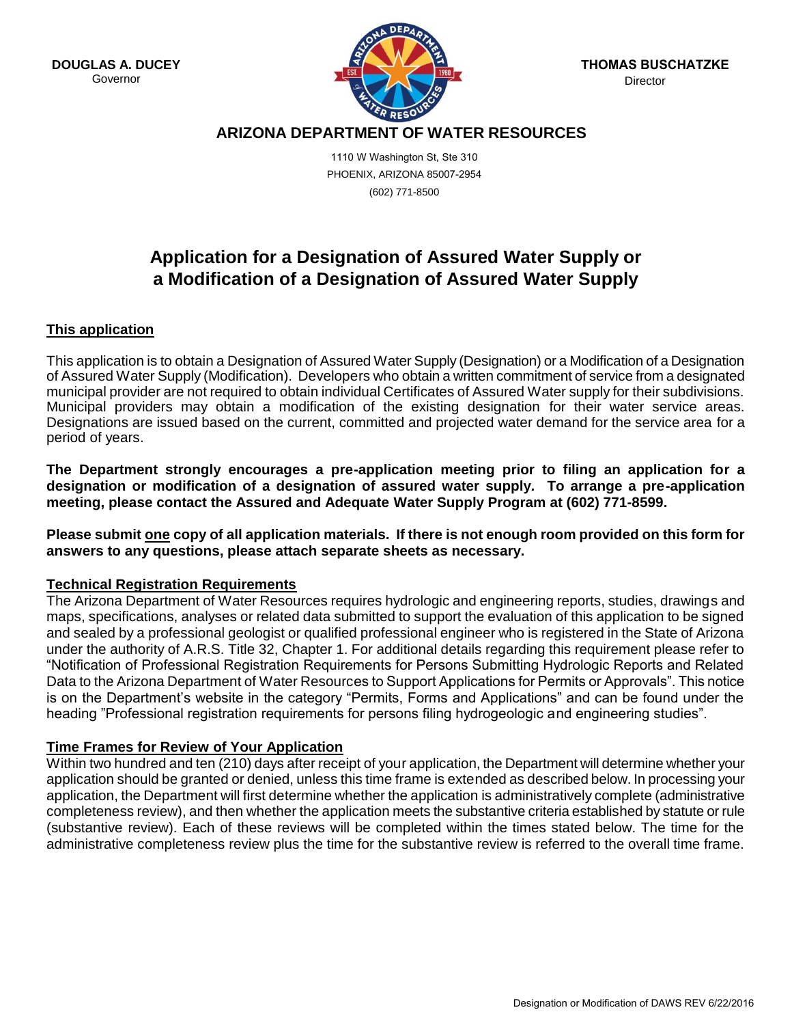**DOUGLAS A. DUCEY** Governor



# **ARIZONA DEPARTMENT OF WATER RESOURCES**

1110 W Washington St, Ste 310 PHOENIX, ARIZONA 85007-2954 (602) 771-8500

# **Application for a Designation of Assured Water Supply or a Modification of a Designation of Assured Water Supply**

# **This application**

This application is to obtain a Designation of Assured Water Supply (Designation) or a Modification of a Designation of Assured Water Supply (Modification). Developers who obtain a written commitment of service from a designated municipal provider are not required to obtain individual Certificates of Assured Water supply for their subdivisions. Municipal providers may obtain a modification of the existing designation for their water service areas. Designations are issued based on the current, committed and projected water demand for the service area for a period of years.

**The Department strongly encourages a pre-application meeting prior to filing an application for a designation or modification of a designation of assured water supply. To arrange a pre-application meeting, please contact the Assured and Adequate Water Supply Program at (602) 771-8599.**

**Please submit one copy of all application materials. If there is not enough room provided on this form for answers to any questions, please attach separate sheets as necessary.** 

# **Technical Registration Requirements**

The Arizona Department of Water Resources requires hydrologic and engineering reports, studies, drawings and maps, specifications, analyses or related data submitted to support the evaluation of this application to be signed and sealed by a professional geologist or qualified professional engineer who is registered in the State of Arizona under the authority of A.R.S. Title 32, Chapter 1. For additional details regarding this requirement please refer to "Notification of Professional Registration Requirements for Persons Submitting Hydrologic Reports and Related Data to the Arizona Department of Water Resources to Support Applications for Permits or Approvals". This notice is on the Department's website in the category "Permits, Forms and Applications" and can be found under the heading "Professional registration requirements for persons filing hydrogeologic and engineering studies".

# **Time Frames for Review of Your Application**

Within two hundred and ten (210) days after receipt of your application, the Department will determine whether your application should be granted or denied, unless this time frame is extended as described below. In processing your application, the Department will first determine whether the application is administratively complete (administrative completeness review), and then whether the application meets the substantive criteria established by statute or rule (substantive review). Each of these reviews will be completed within the times stated below. The time for the administrative completeness review plus the time for the substantive review is referred to the overall time frame.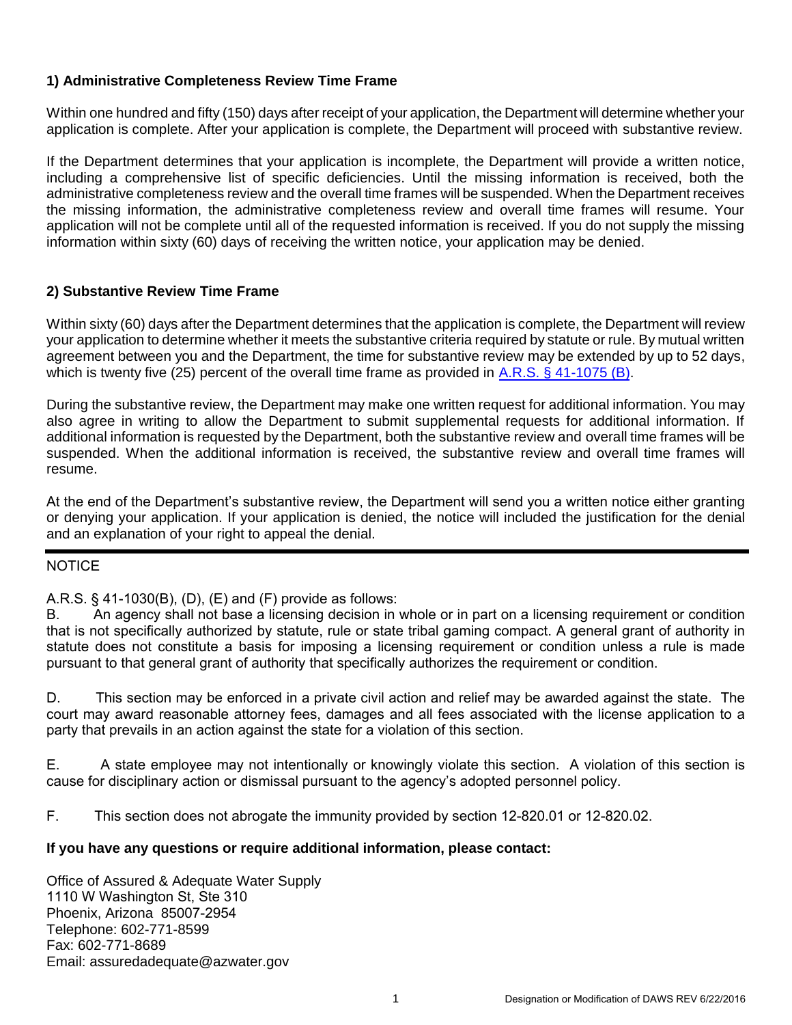# **1) Administrative Completeness Review Time Frame**

Within one hundred and fifty (150) days after receipt of your application, the Department will determine whether your application is complete. After your application is complete, the Department will proceed with substantive review.

If the Department determines that your application is incomplete, the Department will provide a written notice, including a comprehensive list of specific deficiencies. Until the missing information is received, both the administrative completeness review and the overall time frames will be suspended. When the Department receives the missing information, the administrative completeness review and overall time frames will resume. Your application will not be complete until all of the requested information is received. If you do not supply the missing information within sixty (60) days of receiving the written notice, your application may be denied.

# **2) Substantive Review Time Frame**

Within sixty (60) days after the Department determines that the application is complete, the Department will review your application to determine whether it meets the substantive criteria required by statute or rule. By mutual written agreement between you and the Department, the time for substantive review may be extended by up to 52 days, which is twenty five (25) percent of the overall time frame as provided i[n A.R.S. § 41-1075 \(B\).](http://www.azleg.gov/ArizonaRevisedStatutes.asp?Title=41)

During the substantive review, the Department may make one written request for additional information. You may also agree in writing to allow the Department to submit supplemental requests for additional information. If additional information is requested by the Department, both the substantive review and overall time frames will be suspended. When the additional information is received, the substantive review and overall time frames will resume.

At the end of the Department's substantive review, the Department will send you a written notice either granting or denying your application. If your application is denied, the notice will included the justification for the denial and an explanation of your right to appeal the denial.

# **NOTICE**

# A.R.S. § 41-1030(B), (D), (E) and (F) provide as follows:

B. An agency shall not base a licensing decision in whole or in part on a licensing requirement or condition that is not specifically authorized by statute, rule or state tribal gaming compact. A general grant of authority in statute does not constitute a basis for imposing a licensing requirement or condition unless a rule is made pursuant to that general grant of authority that specifically authorizes the requirement or condition.

D. This section may be enforced in a private civil action and relief may be awarded against the state. The court may award reasonable attorney fees, damages and all fees associated with the license application to a party that prevails in an action against the state for a violation of this section.

E. A state employee may not intentionally or knowingly violate this section. A violation of this section is cause for disciplinary action or dismissal pursuant to the agency's adopted personnel policy.

F. This section does not abrogate the immunity provided by section 12-820.01 or 12-820.02.

# **If you have any questions or require additional information, please contact:**

Office of Assured & Adequate Water Supply 1110 W Washington St, Ste 310 Phoenix, Arizona 85007-2954 Telephone: 602-771-8599 Fax: 602-771-8689 Email: assuredadequate@azwater.gov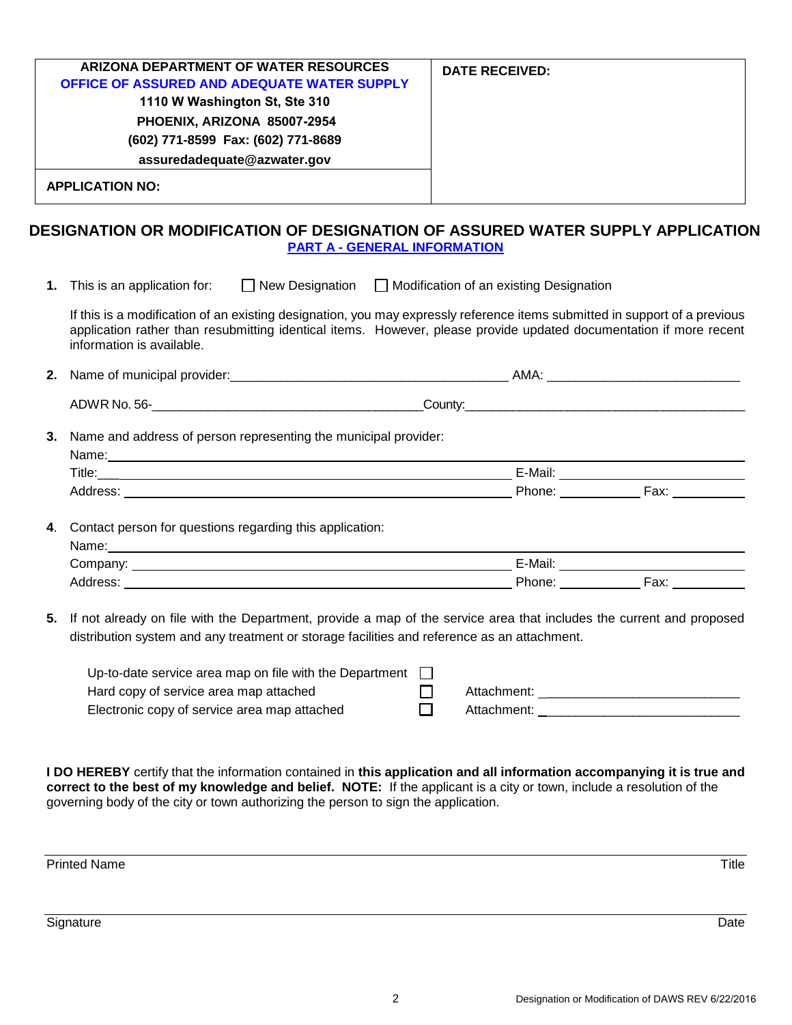| DESIGNATION OR MODIFICATION OF DESIGNATION OF ASSURED WATER SUPPLY APPLICATION |                       |
|--------------------------------------------------------------------------------|-----------------------|
| <b>APPLICATION NO:</b>                                                         |                       |
| assuredadequate@azwater.gov                                                    |                       |
| (602) 771-8599 Fax: (602) 771-8689                                             |                       |
| PHOENIX, ARIZONA 85007-2954                                                    |                       |
| 1110 W Washington St, Ste 310                                                  |                       |
| <b>OFFICE OF ASSURED AND ADEQUATE WATER SUPPLY</b>                             |                       |
| ARIZONA DEPARTMENT OF WATER RESOURCES                                          | <b>DATE RECEIVED:</b> |

**1.** This is an application for:  $\Box$  New Designation  $\Box$  Modification of an existing Designation

If this is a modification of an existing designation, you may expressly reference items submitted in support of a previous application rather than resubmitting identical items. However, please provide updated documentation if more recent information is available.

| 2. | Name of municipal provider: | – AM∧. |
|----|-----------------------------|--------|
|    | ADWR No. 56-                | Count∨ |

**3.** Name and address of person representing the municipal provider:

| Name:    |                        |
|----------|------------------------|
| Title:   | E-Mail:                |
| H<br>ບບບ | Phone:<br>- ~~<br>-ax. |
|          |                        |

**4**. Contact person for questions regarding this application:

| Name.    |         |      |
|----------|---------|------|
| Company: | E-Mail: |      |
| Address: | Phone.  | Fax: |

**5.** If not already on file with the Department, provide a map of the service area that includes the current and proposed distribution system and any treatment or storage facilities and reference as an attachment.

| Up-to-date service area map on file with the Department |             |
|---------------------------------------------------------|-------------|
| Hard copy of service area map attached                  | Attachment: |
| Electronic copy of service area map attached            | Attachment: |

**I DO HEREBY** certify that the information contained in **this application and all information accompanying it is true and correct to the best of my knowledge and belief. NOTE:** If the applicant is a city or town, include a resolution of the governing body of the city or town authorizing the person to sign the application.

Printed Name Title **The Community of the Community Community Community Community Community Community Community Community Community Community Community Community Community Community Community Community Community Community C** 

Signature Date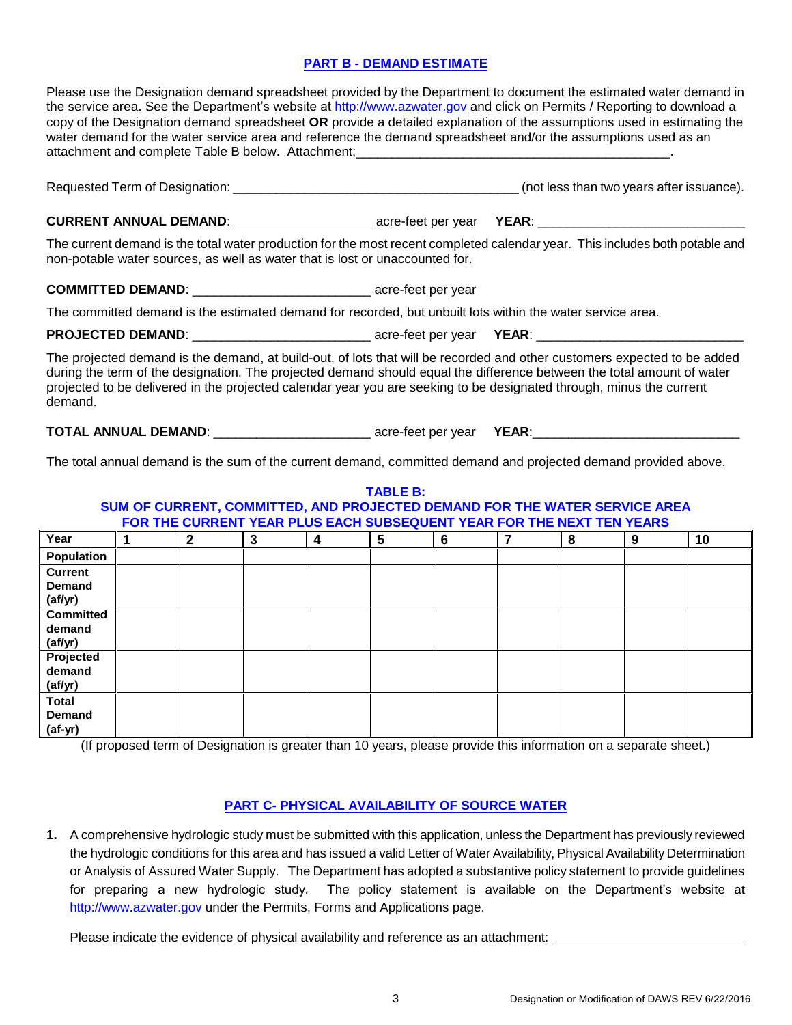### **PART B - DEMAND ESTIMATE**

Please use the Designation demand spreadsheet provided by the Department to document the estimated water demand in the service area. See the Department's website at [http://www.azwater.gov](http://www.azwater.gov/) and click on Permits / Reporting to download a copy of the Designation demand spreadsheet **OR** provide a detailed explanation of the assumptions used in estimating the water demand for the water service area and reference the demand spreadsheet and/or the assumptions used as an attachment and complete Table B below. Attachment:

Requested Term of Designation: \_\_\_\_\_\_\_\_\_\_\_\_\_\_\_\_\_\_\_\_\_\_\_\_\_\_\_\_\_\_\_\_\_\_\_\_\_\_\_\_ (not less than two years after issuance).

#### **CURRENT ANNUAL DEMAND:**  $\qquad \qquad \text{acre-feet per year}$  **YEAR**:

The current demand is the total water production for the most recent completed calendar year. This includes both potable and non-potable water sources, as well as water that is lost or unaccounted for.

### **COMMITTED DEMAND**: \_\_\_\_\_\_\_\_\_\_\_\_\_\_\_\_\_\_\_\_\_\_\_\_\_ acre-feet per year

The committed demand is the estimated demand for recorded, but unbuilt lots within the water service area.

**PROJECTED DEMAND**: \_\_\_\_\_\_\_\_\_\_\_\_\_\_\_\_\_\_\_\_\_\_\_\_\_ acre-feet per year **YEAR**: \_\_\_\_\_\_\_\_\_\_\_\_\_\_\_\_\_\_\_\_\_\_\_\_\_\_\_\_\_

The projected demand is the demand, at build-out, of lots that will be recorded and other customers expected to be added during the term of the designation. The projected demand should equal the difference between the total amount of water projected to be delivered in the projected calendar year you are seeking to be designated through, minus the current demand.

**TOTAL ANNUAL DEMAND**: \_\_\_\_\_\_\_\_\_\_\_\_\_\_\_\_\_\_\_\_\_\_ acre-feet per year **YEAR**:\_\_\_\_\_\_\_\_\_\_\_\_\_\_\_\_\_\_\_\_\_\_\_\_\_\_\_\_\_

The total annual demand is the sum of the current demand, committed demand and projected demand provided above.

**TABLE B:** 

| SUM OF CURRENT, COMMITTED, AND PROJECTED DEMAND FOR THE WATER SERVICE AREA<br>FOR THE CURRENT YEAR PLUS EACH SUBSEQUENT YEAR FOR THE NEXT TEN YEARS |  |              |   |   |   |   |   |   |    |
|-----------------------------------------------------------------------------------------------------------------------------------------------------|--|--------------|---|---|---|---|---|---|----|
| Year                                                                                                                                                |  | $\mathbf{2}$ | 3 | 4 | 5 | 6 | 8 | 9 | 10 |
| Population                                                                                                                                          |  |              |   |   |   |   |   |   |    |
| <b>Current</b>                                                                                                                                      |  |              |   |   |   |   |   |   |    |
| <b>Demand</b>                                                                                                                                       |  |              |   |   |   |   |   |   |    |
| (af/yr)                                                                                                                                             |  |              |   |   |   |   |   |   |    |
| <b>Committed</b>                                                                                                                                    |  |              |   |   |   |   |   |   |    |
| demand                                                                                                                                              |  |              |   |   |   |   |   |   |    |
| (af/yr)                                                                                                                                             |  |              |   |   |   |   |   |   |    |
| Projected                                                                                                                                           |  |              |   |   |   |   |   |   |    |
| demand                                                                                                                                              |  |              |   |   |   |   |   |   |    |
| (af/yr)                                                                                                                                             |  |              |   |   |   |   |   |   |    |
| <b>Total</b>                                                                                                                                        |  |              |   |   |   |   |   |   |    |
| <b>Demand</b>                                                                                                                                       |  |              |   |   |   |   |   |   |    |
| $(af-yr)$                                                                                                                                           |  |              |   |   |   |   |   |   |    |

(If proposed term of Designation is greater than 10 years, please provide this information on a separate sheet.)

#### **PART C- PHYSICAL AVAILABILITY OF SOURCE WATER**

**1.** A comprehensive hydrologic study must be submitted with this application, unless the Department has previously reviewed the hydrologic conditions for this area and has issued a valid Letter of Water Availability, Physical Availability Determination or Analysis of Assured Water Supply. The Department has adopted a substantive policy statement to provide guidelines for preparing a new hydrologic study. The policy statement is available on the Department's website at [http://www.azwater.gov](http://www.azwater.gov/) under the Permits, Forms and Applications page.

Please indicate the evidence of physical availability and reference as an attachment: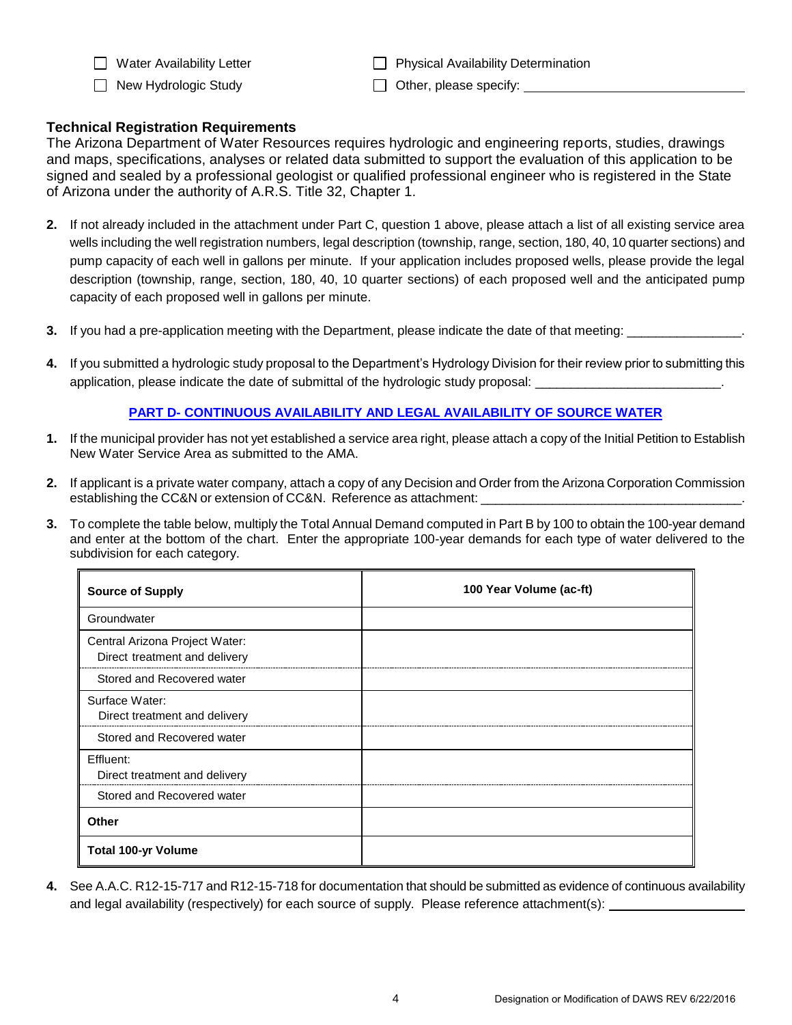□ New Hydrologic Study  $□$  Other, please specify:  $□$ 

 $\Box$  Water Availability Letter  $\Box$  Physical Availability Determination

# **Technical Registration Requirements**

The Arizona Department of Water Resources requires hydrologic and engineering reports, studies, drawings and maps, specifications, analyses or related data submitted to support the evaluation of this application to be signed and sealed by a professional geologist or qualified professional engineer who is registered in the State of Arizona under the authority of A.R.S. Title 32, Chapter 1.

- **2.** If not already included in the attachment under Part C, question 1 above, please attach a list of all existing service area wells including the well registration numbers, legal description (township, range, section, 180, 40, 10 quarter sections) and pump capacity of each well in gallons per minute. If your application includes proposed wells, please provide the legal description (township, range, section, 180, 40, 10 quarter sections) of each proposed well and the anticipated pump capacity of each proposed well in gallons per minute.
- **3.** If you had a pre-application meeting with the Department, please indicate the date of that meeting:
- **4.** If you submitted a hydrologic study proposal to the Department's Hydrology Division for their review prior to submitting this application, please indicate the date of submittal of the hydrologic study proposal:

# **PART D- CONTINUOUS AVAILABILITY AND LEGAL AVAILABILITY OF SOURCE WATER**

- **1.** If the municipal provider has not yet established a service area right, please attach a copy of the Initial Petition to Establish New Water Service Area as submitted to the AMA.
- **2.** If applicant is a private water company, attach a copy of any Decision and Order from the Arizona Corporation Commission establishing the CC&N or extension of CC&N. Reference as attachment: \_\_\_\_\_
- **3.** To complete the table below, multiply the Total Annual Demand computed in Part B by 100 to obtain the 100-year demand and enter at the bottom of the chart. Enter the appropriate 100-year demands for each type of water delivered to the subdivision for each category.

| <b>Source of Supply</b>                                         | 100 Year Volume (ac-ft) |
|-----------------------------------------------------------------|-------------------------|
| Groundwater                                                     |                         |
| Central Arizona Project Water:<br>Direct treatment and delivery |                         |
| Stored and Recovered water                                      |                         |
| Surface Water:<br>Direct treatment and delivery                 |                         |
| Stored and Recovered water                                      |                         |
| Effluent:<br>Direct treatment and delivery                      |                         |
| Stored and Recovered water                                      |                         |
| Other                                                           |                         |
| <b>Total 100-yr Volume</b>                                      |                         |

**4.** See A.A.C. R12-15-717 and R12-15-718 for documentation that should be submitted as evidence of continuous availability and legal availability (respectively) for each source of supply. Please reference attachment(s):  $\overline{\phantom{a}}$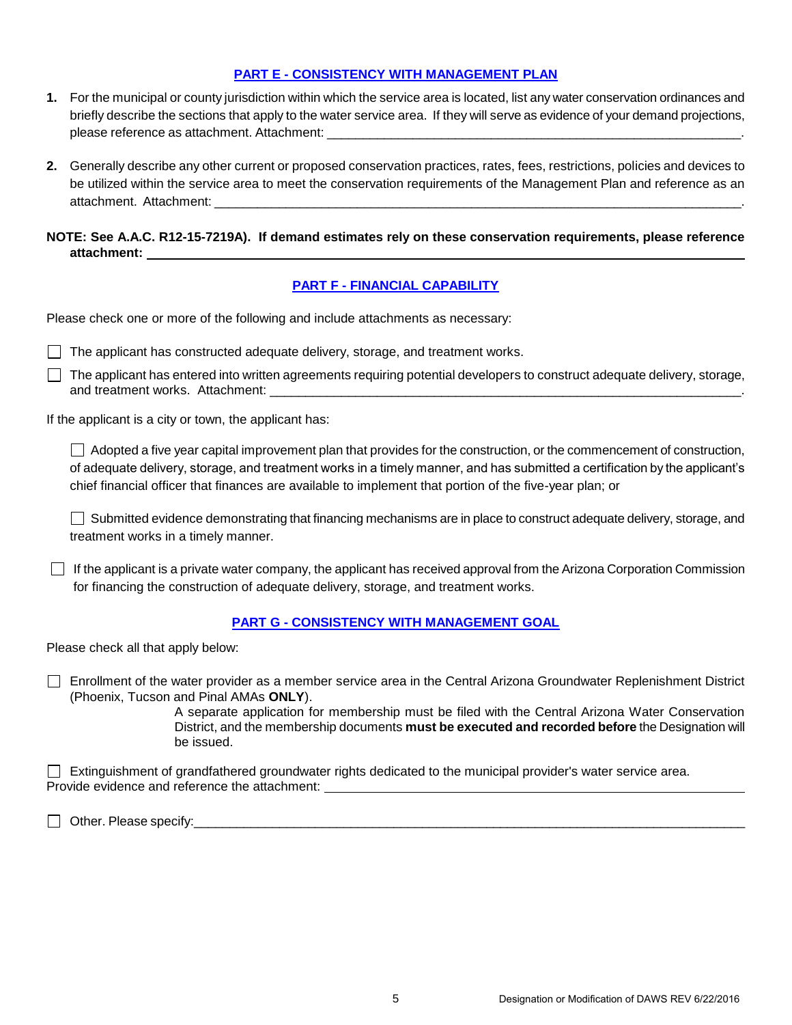### **PART E - CONSISTENCY WITH MANAGEMENT PLAN**

- **1.** For the municipal or county jurisdiction within which the service area is located, list any water conservation ordinances and briefly describe the sections that apply to the water service area. If they will serve as evidence of your demand projections, please reference as attachment. Attachment:
- **2.** Generally describe any other current or proposed conservation practices, rates, fees, restrictions, policies and devices to be utilized within the service area to meet the conservation requirements of the Management Plan and reference as an attachment. Attachment:

**NOTE: See A.A.C. R12-15-7219A). If demand estimates rely on these conservation requirements, please reference attachment:** 

#### **PART F - FINANCIAL CAPABILITY**

Please check one or more of the following and include attachments as necessary:

 $\Box$  The applicant has constructed adequate delivery, storage, and treatment works.

 $\Box$  The applicant has entered into written agreements requiring potential developers to construct adequate delivery, storage, and treatment works. Attachment: \_\_\_\_\_\_\_\_\_\_\_\_\_\_\_\_\_\_\_\_\_\_\_\_\_\_\_\_\_\_\_\_\_\_\_\_\_\_\_\_\_\_\_\_\_\_\_\_\_\_\_\_\_\_\_\_\_\_\_\_\_\_\_\_\_\_.

If the applicant is a city or town, the applicant has:

Adopted a five year capital improvement plan that provides for the construction, or the commencement of construction, of adequate delivery, storage, and treatment works in a timely manner, and has submitted a certification by the applicant's chief financial officer that finances are available to implement that portion of the five-year plan; or

Submitted evidence demonstrating that financing mechanisms are in place to construct adequate delivery, storage, and treatment works in a timely manner.

 $\Box$  If the applicant is a private water company, the applicant has received approval from the Arizona Corporation Commission for financing the construction of adequate delivery, storage, and treatment works.

#### **PART G - CONSISTENCY WITH MANAGEMENT GOAL**

Please check all that apply below:

Enrollment of the water provider as a member service area in the Central Arizona Groundwater Replenishment District (Phoenix, Tucson and Pinal AMAs **ONLY**).

> A separate application for membership must be filed with the Central Arizona Water Conservation District, and the membership documents **must be executed and recorded before** the Designation will be issued.

 $\Box$  Extinguishment of grandfathered groundwater rights dedicated to the municipal provider's water service area. Provide evidence and reference the attachment:

Other. Please specify:\_\_\_\_\_\_\_\_\_\_\_\_\_\_\_\_\_\_\_\_\_\_\_\_\_\_\_\_\_\_\_\_\_\_\_\_\_\_\_\_\_\_\_\_\_\_\_\_\_\_\_\_\_\_\_\_\_\_\_\_\_\_\_\_\_\_\_\_\_\_\_\_\_\_\_\_\_\_